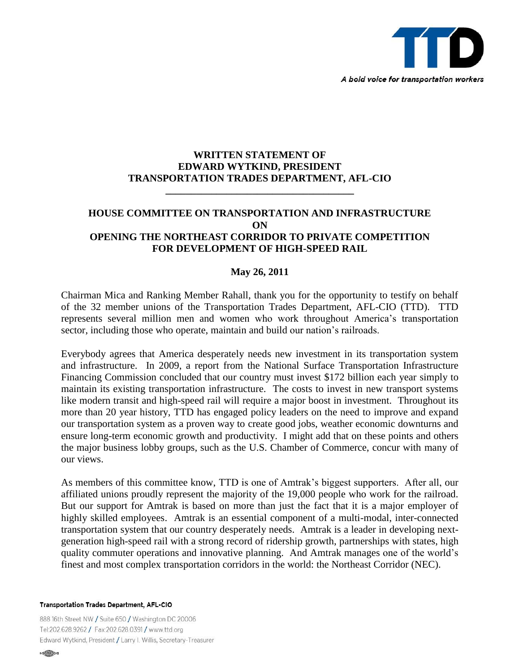

## **WRITTEN STATEMENT OF EDWARD WYTKIND, PRESIDENT TRANSPORTATION TRADES DEPARTMENT, AFL-CIO**

**\_\_\_\_\_\_\_\_\_\_\_\_\_\_\_\_\_\_\_\_\_\_\_\_\_\_\_\_\_\_\_\_\_\_\_\_\_**

## **HOUSE COMMITTEE ON TRANSPORTATION AND INFRASTRUCTURE ON OPENING THE NORTHEAST CORRIDOR TO PRIVATE COMPETITION FOR DEVELOPMENT OF HIGH-SPEED RAIL**

## **May 26, 2011**

Chairman Mica and Ranking Member Rahall, thank you for the opportunity to testify on behalf of the 32 member unions of the Transportation Trades Department, AFL-CIO (TTD). TTD represents several million men and women who work throughout America's transportation sector, including those who operate, maintain and build our nation's railroads.

Everybody agrees that America desperately needs new investment in its transportation system and infrastructure. In 2009, a report from the National Surface Transportation Infrastructure Financing Commission concluded that our country must invest \$172 billion each year simply to maintain its existing transportation infrastructure. The costs to invest in new transport systems like modern transit and high-speed rail will require a major boost in investment. Throughout its more than 20 year history, TTD has engaged policy leaders on the need to improve and expand our transportation system as a proven way to create good jobs, weather economic downturns and ensure long-term economic growth and productivity. I might add that on these points and others the major business lobby groups, such as the U.S. Chamber of Commerce, concur with many of our views.

As members of this committee know, TTD is one of Amtrak's biggest supporters. After all, our affiliated unions proudly represent the majority of the 19,000 people who work for the railroad. But our support for Amtrak is based on more than just the fact that it is a major employer of highly skilled employees. Amtrak is an essential component of a multi-modal, inter-connected transportation system that our country desperately needs. Amtrak is a leader in developing nextgeneration high-speed rail with a strong record of ridership growth, partnerships with states, high quality commuter operations and innovative planning. And Amtrak manages one of the world's finest and most complex transportation corridors in the world: the Northeast Corridor (NEC).

**Transportation Trades Department, AFL-CIO** 

888 16th Street NW / Suite 650 / Washington DC 20006 Tel:202.628.9262 / Fax:202.628.0391 / www.ttd.org Edward Wytkind, President / Larry I. Willis, Secretary-Treasurer

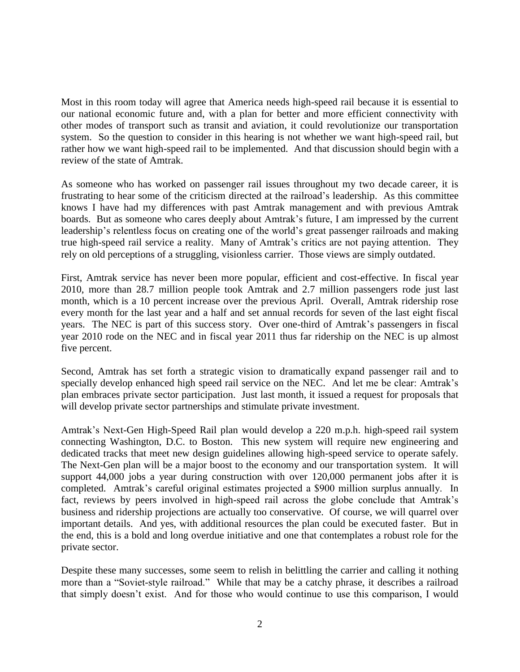Most in this room today will agree that America needs high-speed rail because it is essential to our national economic future and, with a plan for better and more efficient connectivity with other modes of transport such as transit and aviation, it could revolutionize our transportation system. So the question to consider in this hearing is not whether we want high-speed rail, but rather how we want high-speed rail to be implemented. And that discussion should begin with a review of the state of Amtrak.

As someone who has worked on passenger rail issues throughout my two decade career, it is frustrating to hear some of the criticism directed at the railroad's leadership. As this committee knows I have had my differences with past Amtrak management and with previous Amtrak boards. But as someone who cares deeply about Amtrak's future, I am impressed by the current leadership's relentless focus on creating one of the world's great passenger railroads and making true high-speed rail service a reality. Many of Amtrak's critics are not paying attention. They rely on old perceptions of a struggling, visionless carrier. Those views are simply outdated.

First, Amtrak service has never been more popular, efficient and cost-effective. In fiscal year 2010, more than 28.7 million people took Amtrak and 2.7 million passengers rode just last month, which is a 10 percent increase over the previous April. Overall, Amtrak ridership rose every month for the last year and a half and set annual records for seven of the last eight fiscal years. The NEC is part of this success story. Over one-third of Amtrak's passengers in fiscal year 2010 rode on the NEC and in fiscal year 2011 thus far ridership on the NEC is up almost five percent.

Second, Amtrak has set forth a strategic vision to dramatically expand passenger rail and to specially develop enhanced high speed rail service on the NEC. And let me be clear: Amtrak's plan embraces private sector participation. Just last month, it issued a request for proposals that will develop private sector partnerships and stimulate private investment.

Amtrak's Next-Gen High-Speed Rail plan would develop a 220 m.p.h. high-speed rail system connecting Washington, D.C. to Boston. This new system will require new engineering and dedicated tracks that meet new design guidelines allowing high-speed service to operate safely. The Next-Gen plan will be a major boost to the economy and our transportation system. It will support 44,000 jobs a year during construction with over 120,000 permanent jobs after it is completed. Amtrak's careful original estimates projected a \$900 million surplus annually. In fact, reviews by peers involved in high-speed rail across the globe conclude that Amtrak's business and ridership projections are actually too conservative. Of course, we will quarrel over important details. And yes, with additional resources the plan could be executed faster. But in the end, this is a bold and long overdue initiative and one that contemplates a robust role for the private sector.

Despite these many successes, some seem to relish in belittling the carrier and calling it nothing more than a "Soviet-style railroad." While that may be a catchy phrase, it describes a railroad that simply doesn't exist. And for those who would continue to use this comparison, I would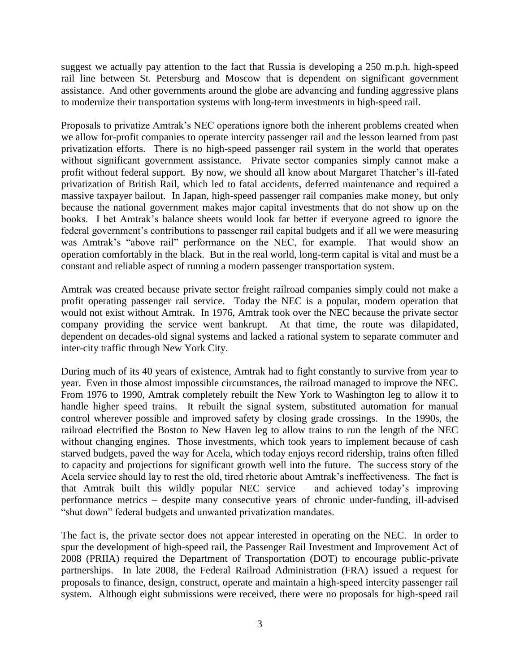suggest we actually pay attention to the fact that Russia is developing a 250 m.p.h. high-speed rail line between St. Petersburg and Moscow that is dependent on significant government assistance. And other governments around the globe are advancing and funding aggressive plans to modernize their transportation systems with long-term investments in high-speed rail.

Proposals to privatize Amtrak's NEC operations ignore both the inherent problems created when we allow for-profit companies to operate intercity passenger rail and the lesson learned from past privatization efforts. There is no high-speed passenger rail system in the world that operates without significant government assistance. Private sector companies simply cannot make a profit without federal support. By now, we should all know about Margaret Thatcher's ill-fated privatization of British Rail, which led to fatal accidents, deferred maintenance and required a massive taxpayer bailout. In Japan, high-speed passenger rail companies make money, but only because the national government makes major capital investments that do not show up on the books. I bet Amtrak's balance sheets would look far better if everyone agreed to ignore the federal government's contributions to passenger rail capital budgets and if all we were measuring was Amtrak's "above rail" performance on the NEC, for example. That would show an operation comfortably in the black. But in the real world, long-term capital is vital and must be a constant and reliable aspect of running a modern passenger transportation system.

Amtrak was created because private sector freight railroad companies simply could not make a profit operating passenger rail service. Today the NEC is a popular, modern operation that would not exist without Amtrak. In 1976, Amtrak took over the NEC because the private sector company providing the service went bankrupt. At that time, the route was dilapidated, dependent on decades-old signal systems and lacked a rational system to separate commuter and inter-city traffic through New York City.

During much of its 40 years of existence, Amtrak had to fight constantly to survive from year to year. Even in those almost impossible circumstances, the railroad managed to improve the NEC. From 1976 to 1990, Amtrak completely rebuilt the New York to Washington leg to allow it to handle higher speed trains. It rebuilt the signal system, substituted automation for manual control wherever possible and improved safety by closing grade crossings. In the 1990s, the railroad electrified the Boston to New Haven leg to allow trains to run the length of the NEC without changing engines. Those investments, which took years to implement because of cash starved budgets, paved the way for Acela, which today enjoys record ridership, trains often filled to capacity and projections for significant growth well into the future. The success story of the Acela service should lay to rest the old, tired rhetoric about Amtrak's ineffectiveness. The fact is that Amtrak built this wildly popular NEC service – and achieved today's improving performance metrics – despite many consecutive years of chronic under-funding, ill-advised "shut down" federal budgets and unwanted privatization mandates.

The fact is, the private sector does not appear interested in operating on the NEC. In order to spur the development of high-speed rail, the Passenger Rail Investment and Improvement Act of 2008 (PRIIA) required the Department of Transportation (DOT) to encourage public-private partnerships. In late 2008, the Federal Railroad Administration (FRA) issued a request for proposals to finance, design, construct, operate and maintain a high-speed intercity passenger rail system. Although eight submissions were received, there were no proposals for high-speed rail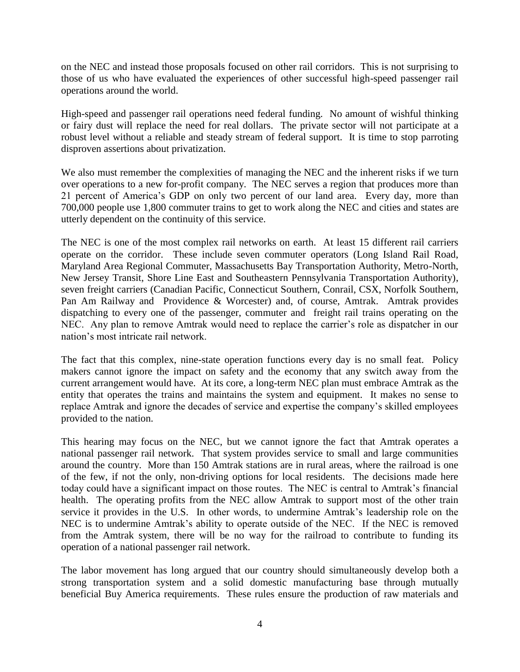on the NEC and instead those proposals focused on other rail corridors. This is not surprising to those of us who have evaluated the experiences of other successful high-speed passenger rail operations around the world.

High-speed and passenger rail operations need federal funding. No amount of wishful thinking or fairy dust will replace the need for real dollars. The private sector will not participate at a robust level without a reliable and steady stream of federal support. It is time to stop parroting disproven assertions about privatization.

We also must remember the complexities of managing the NEC and the inherent risks if we turn over operations to a new for-profit company. The NEC serves a region that produces more than 21 percent of America's GDP on only two percent of our land area. Every day, more than 700,000 people use 1,800 commuter trains to get to work along the NEC and cities and states are utterly dependent on the continuity of this service.

The NEC is one of the most complex rail networks on earth. At least 15 different rail carriers operate on the corridor. These include seven commuter operators (Long Island Rail Road, Maryland Area Regional Commuter, Massachusetts Bay Transportation Authority, Metro-North, New Jersey Transit, Shore Line East and Southeastern Pennsylvania Transportation Authority), seven freight carriers (Canadian Pacific, Connecticut Southern, Conrail, CSX, Norfolk Southern, Pan Am Railway and Providence & Worcester) and, of course, Amtrak. Amtrak provides dispatching to every one of the passenger, commuter and freight rail trains operating on the NEC. Any plan to remove Amtrak would need to replace the carrier's role as dispatcher in our nation's most intricate rail network.

The fact that this complex, nine-state operation functions every day is no small feat. Policy makers cannot ignore the impact on safety and the economy that any switch away from the current arrangement would have. At its core, a long-term NEC plan must embrace Amtrak as the entity that operates the trains and maintains the system and equipment. It makes no sense to replace Amtrak and ignore the decades of service and expertise the company's skilled employees provided to the nation.

This hearing may focus on the NEC, but we cannot ignore the fact that Amtrak operates a national passenger rail network. That system provides service to small and large communities around the country. More than 150 Amtrak stations are in rural areas, where the railroad is one of the few, if not the only, non-driving options for local residents. The decisions made here today could have a significant impact on those routes. The NEC is central to Amtrak's financial health. The operating profits from the NEC allow Amtrak to support most of the other train service it provides in the U.S. In other words, to undermine Amtrak's leadership role on the NEC is to undermine Amtrak's ability to operate outside of the NEC. If the NEC is removed from the Amtrak system, there will be no way for the railroad to contribute to funding its operation of a national passenger rail network.

The labor movement has long argued that our country should simultaneously develop both a strong transportation system and a solid domestic manufacturing base through mutually beneficial Buy America requirements. These rules ensure the production of raw materials and